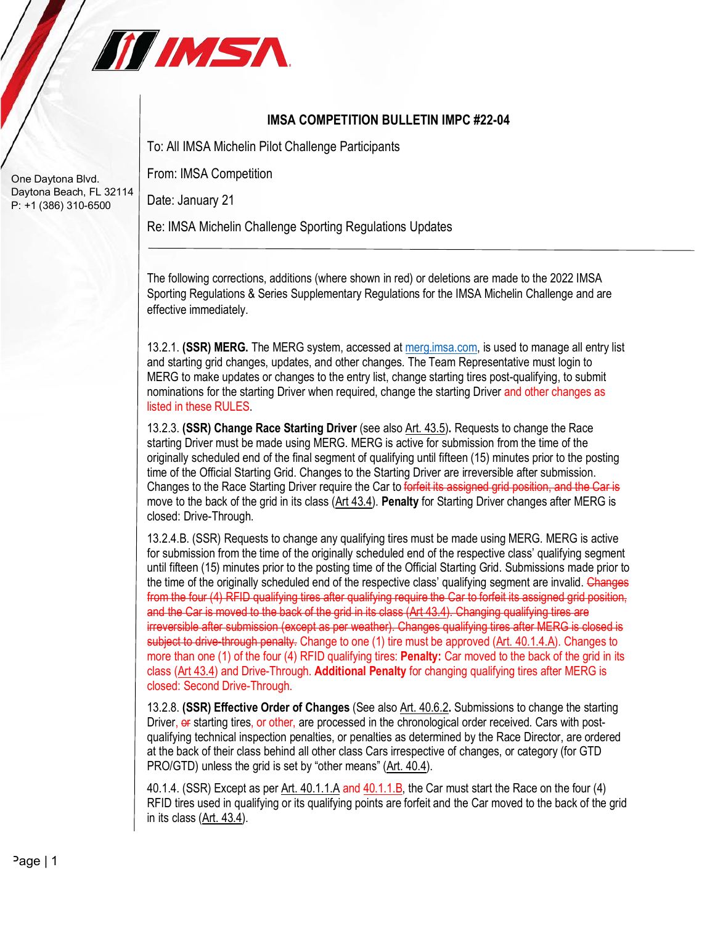

## **IMSA COMPETITION BULLETIN IMPC #22-04**

To: All IMSA Michelin Pilot Challenge Participants

From: IMSA Competition

Date: January 21

Re: IMSA Michelin Challenge Sporting Regulations Updates

The following corrections, additions (where shown in red) or deletions are made to the 2022 IMSA Sporting Regulations & Series Supplementary Regulations for the IMSA Michelin Challenge and are effective immediately.

13.2.1. **(SSR) MERG.** The MERG system, accessed at merg.imsa.com, is used to manage all entry list and starting grid changes, updates, and other changes. The Team Representative must login to MERG to make updates or changes to the entry list, change starting tires post-qualifying, to submit nominations for the starting Driver when required, change the starting Driver and other changes as listed in these RULES.

13.2.3. **(SSR) Change Race Starting Driver** (see also Art. 43.5)**.** Requests to change the Race starting Driver must be made using MERG. MERG is active for submission from the time of the originally scheduled end of the final segment of qualifying until fifteen (15) minutes prior to the posting time of the Official Starting Grid. Changes to the Starting Driver are irreversible after submission. Changes to the Race Starting Driver require the Car to forfeit its assigned grid position, and the Car is move to the back of the grid in its class (Art 43.4). **Penalty** for Starting Driver changes after MERG is closed: Drive-Through.

13.2.4.B. (SSR) Requests to change any qualifying tires must be made using MERG. MERG is active for submission from the time of the originally scheduled end of the respective class' qualifying segment until fifteen (15) minutes prior to the posting time of the Official Starting Grid. Submissions made prior to the time of the originally scheduled end of the respective class' qualifying segment are invalid. Changes from the four (4) RFID qualifying tires after qualifying require the Car to forfeit its assigned grid position, and the Car is moved to the back of the grid in its class (Art 43.4). Changing qualifying tires are irreversible after submission (except as per weather). Changes qualifying tires after MERG is closed is subject to drive-through penalty. Change to one (1) tire must be approved (Art. 40.1.4.A). Changes to more than one (1) of the four (4) RFID qualifying tires: **Penalty:** Car moved to the back of the grid in its class (Art 43.4) and Drive-Through. **Additional Penalty** for changing qualifying tires after MERG is closed: Second Drive-Through.

13.2.8. **(SSR) Effective Order of Changes** (See also Art. 40.6.2**.** Submissions to change the starting Driver, or starting tires, or other, are processed in the chronological order received. Cars with postqualifying technical inspection penalties, or penalties as determined by the Race Director, are ordered at the back of their class behind all other class Cars irrespective of changes, or category (for GTD PRO/GTD) unless the grid is set by "other means" (Art. 40.4).

40.1.4. (SSR) Except as per Art. 40.1.1.A and 40.1.1.B, the Car must start the Race on the four (4) RFID tires used in qualifying or its qualifying points are forfeit and the Car moved to the back of the grid in its class (Art. 43.4).

One Daytona Blvd. Daytona Beach, FL 32114 P: +1 (386) 310-6500